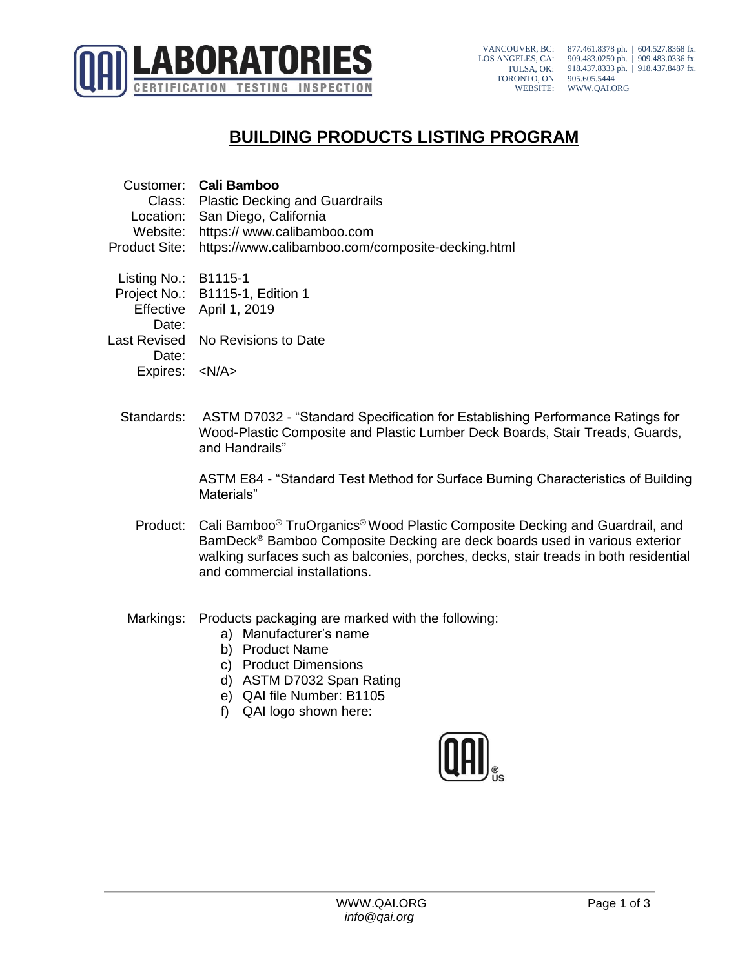

VANCOUVER, BC: LOS ANGELES, CA: TULSA, OK: TORONTO, ON WEBSITE: 877.461.8378 ph. | 604.527.8368 fx. 909.483.0250 ph. | 909.483.0336 fx. 918.437.8333 ph. | 918.437.8487 fx. 905.605.5444 WWW.QAI.ORG

## **BUILDING PRODUCTS LISTING PROGRAM**

|                        | Customer: Cali Bamboo                             |
|------------------------|---------------------------------------------------|
|                        | Class: Plastic Decking and Guardrails             |
|                        | Location: San Diego, California                   |
| Website:               | https:// www.calibamboo.com                       |
| <b>Product Site:</b>   | https://www.calibamboo.com/composite-decking.html |
| Listing No.: $B1115-1$ |                                                   |
|                        | Project No.: B1115-1, Edition 1                   |
|                        | Effective April 1, 2019                           |
| Date:                  |                                                   |
| Last Revised           | No Revisions to Date                              |
| Date:                  |                                                   |
| Expires: <n a=""></n>  |                                                   |

Standards: ASTM D7032 - "Standard Specification for Establishing Performance Ratings for Wood-Plastic Composite and Plastic Lumber Deck Boards, Stair Treads, Guards, and Handrails"

> ASTM E84 - "Standard Test Method for Surface Burning Characteristics of Building Materials"

- Product: Cali Bamboo® TruOrganics®Wood Plastic Composite Decking and Guardrail, and BamDeck® Bamboo Composite Decking are deck boards used in various exterior walking surfaces such as balconies, porches, decks, stair treads in both residential and commercial installations.
- Markings: Products packaging are marked with the following:
	- a) Manufacturer's name
	- b) Product Name
	- c) Product Dimensions
	- d) ASTM D7032 Span Rating
	- e) QAI file Number: B1105
	- f) QAI logo shown here:

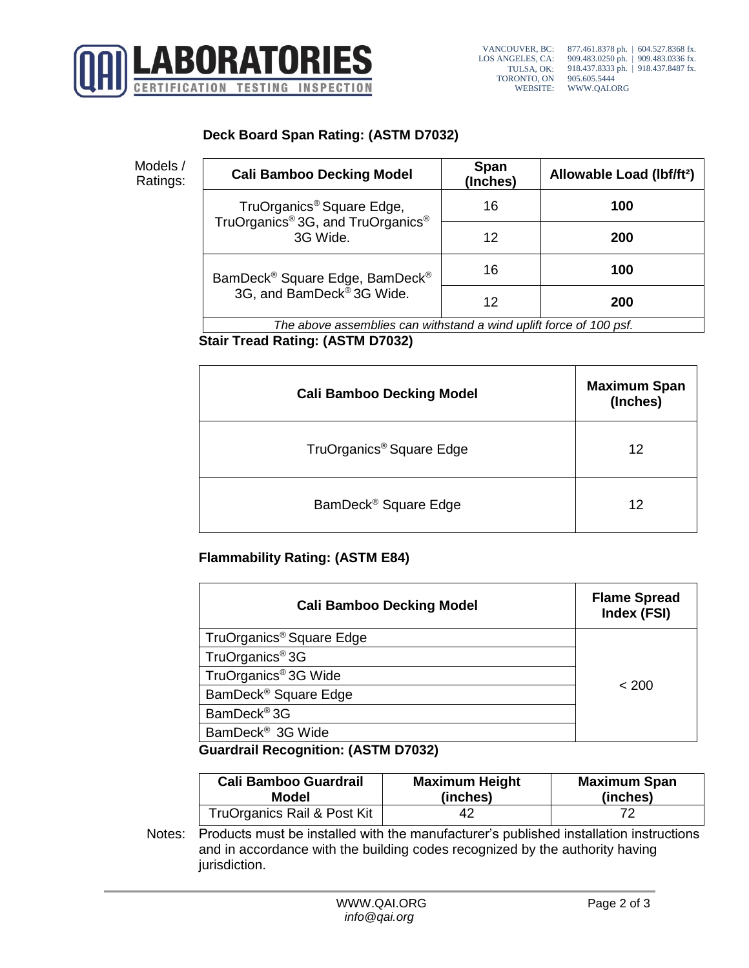

## **Deck Board Span Rating: (ASTM D7032)**

Models /

| Models /<br>Ratings: | <b>Cali Bamboo Decking Model</b>                                                       | <b>Span</b><br>(Inches) | Allowable Load (lbf/ft <sup>2</sup> ) |  |
|----------------------|----------------------------------------------------------------------------------------|-------------------------|---------------------------------------|--|
|                      | TruOrganics <sup>®</sup> Square Edge,<br>TruOrganics® 3G, and TruOrganics®<br>3G Wide. | 16                      | 100                                   |  |
|                      |                                                                                        | 12                      | 200                                   |  |
|                      | BamDeck® Square Edge, BamDeck®<br>3G, and BamDeck® 3G Wide.                            | 16                      | 100                                   |  |
|                      |                                                                                        | 12                      | 200                                   |  |
|                      | The above assemblies can withstand a wind uplift force of 100 psf.                     |                         |                                       |  |

**Stair Tread Rating: (ASTM D7032)**

| <b>Cali Bamboo Decking Model</b>     | <b>Maximum Span</b><br>(Inches) |
|--------------------------------------|---------------------------------|
| TruOrganics <sup>®</sup> Square Edge | 12                              |
| BamDeck <sup>®</sup> Square Edge     | 12                              |

## **Flammability Rating: (ASTM E84)**

| <b>Cali Bamboo Decking Model</b>           | <b>Flame Spread</b><br>Index (FSI) |  |
|--------------------------------------------|------------------------------------|--|
| TruOrganics <sup>®</sup> Square Edge       |                                    |  |
| TruOrganics <sup>®</sup> 3G                |                                    |  |
| TruOrganics <sup>®</sup> 3G Wide           | < 200                              |  |
| BamDeck <sup>®</sup> Square Edge           |                                    |  |
| BamDeck <sup>®</sup> 3G                    |                                    |  |
| BamDeck <sup>®</sup> 3G Wide               |                                    |  |
| <b>Guardrail Recognition: (ASTM D7032)</b> |                                    |  |

| <b>Cali Bamboo Guardrail</b> | <b>Maximum Height</b> | <b>Maximum Span</b> |
|------------------------------|-----------------------|---------------------|
| Model                        | (inches)              | (inches)            |
| TruOrganics Rail & Post Kit  | 42                    |                     |

Notes: Products must be installed with the manufacturer's published installation instructions and in accordance with the building codes recognized by the authority having jurisdiction.